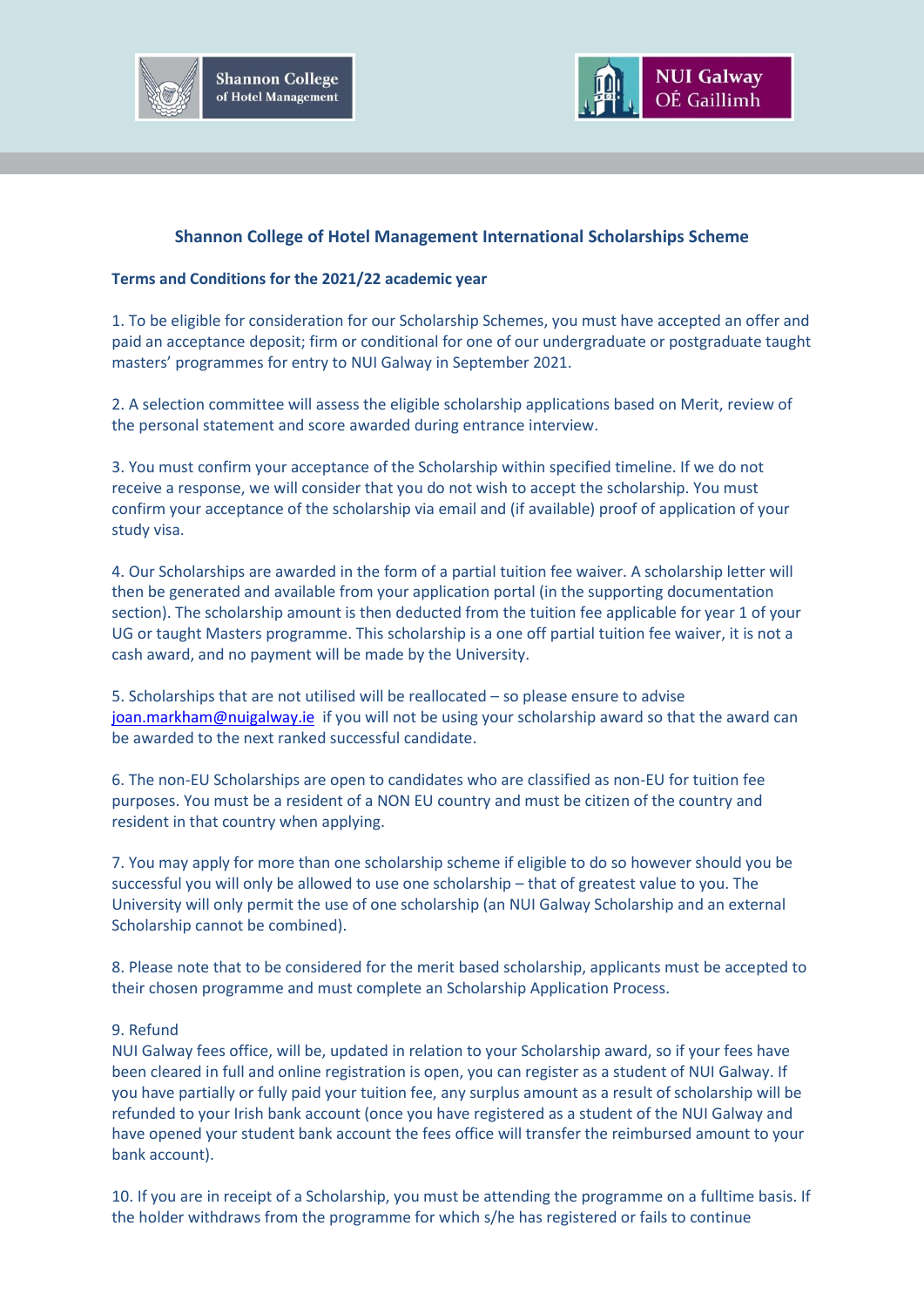



## **Shannon College of Hotel Management International Scholarships Scheme**

## **Terms and Conditions for the 2021/22 academic year**

1. To be eligible for consideration for our Scholarship Schemes, you must have accepted an offer and paid an acceptance deposit; firm or conditional for one of our undergraduate or postgraduate taught masters' programmes for entry to NUI Galway in September 2021.

2. A selection committee will assess the eligible scholarship applications based on Merit, review of the personal statement and score awarded during entrance interview.

3. You must confirm your acceptance of the Scholarship within specified timeline. If we do not receive a response, we will consider that you do not wish to accept the scholarship. You must confirm your acceptance of the scholarship via email and (if available) proof of application of your study visa.

4. Our Scholarships are awarded in the form of a partial tuition fee waiver. A scholarship letter will then be generated and available from your application portal (in the supporting documentation section). The scholarship amount is then deducted from the tuition fee applicable for year 1 of your UG or taught Masters programme. This scholarship is a one off partial tuition fee waiver, it is not a cash award, and no payment will be made by the University.

5. Scholarships that are not utilised will be reallocated – so please ensure to advise [joan.markham@nuigalway.ie](mailto:joan.markham@nuigalway.ie) if you will not be using your scholarship award so that the award can be awarded to the next ranked successful candidate.

6. The non-EU Scholarships are open to candidates who are classified as non-EU for tuition fee purposes. You must be a resident of a NON EU country and must be citizen of the country and resident in that country when applying.

7. You may apply for more than one scholarship scheme if eligible to do so however should you be successful you will only be allowed to use one scholarship – that of greatest value to you. The University will only permit the use of one scholarship (an NUI Galway Scholarship and an external Scholarship cannot be combined).

8. Please note that to be considered for the merit based scholarship, applicants must be accepted to their chosen programme and must complete an Scholarship Application Process.

## 9. Refund

NUI Galway fees office, will be, updated in relation to your Scholarship award, so if your fees have been cleared in full and online registration is open, you can register as a student of NUI Galway. If you have partially or fully paid your tuition fee, any surplus amount as a result of scholarship will be refunded to your Irish bank account (once you have registered as a student of the NUI Galway and have opened your student bank account the fees office will transfer the reimbursed amount to your bank account).

10. If you are in receipt of a Scholarship, you must be attending the programme on a fulltime basis. If the holder withdraws from the programme for which s/he has registered or fails to continue